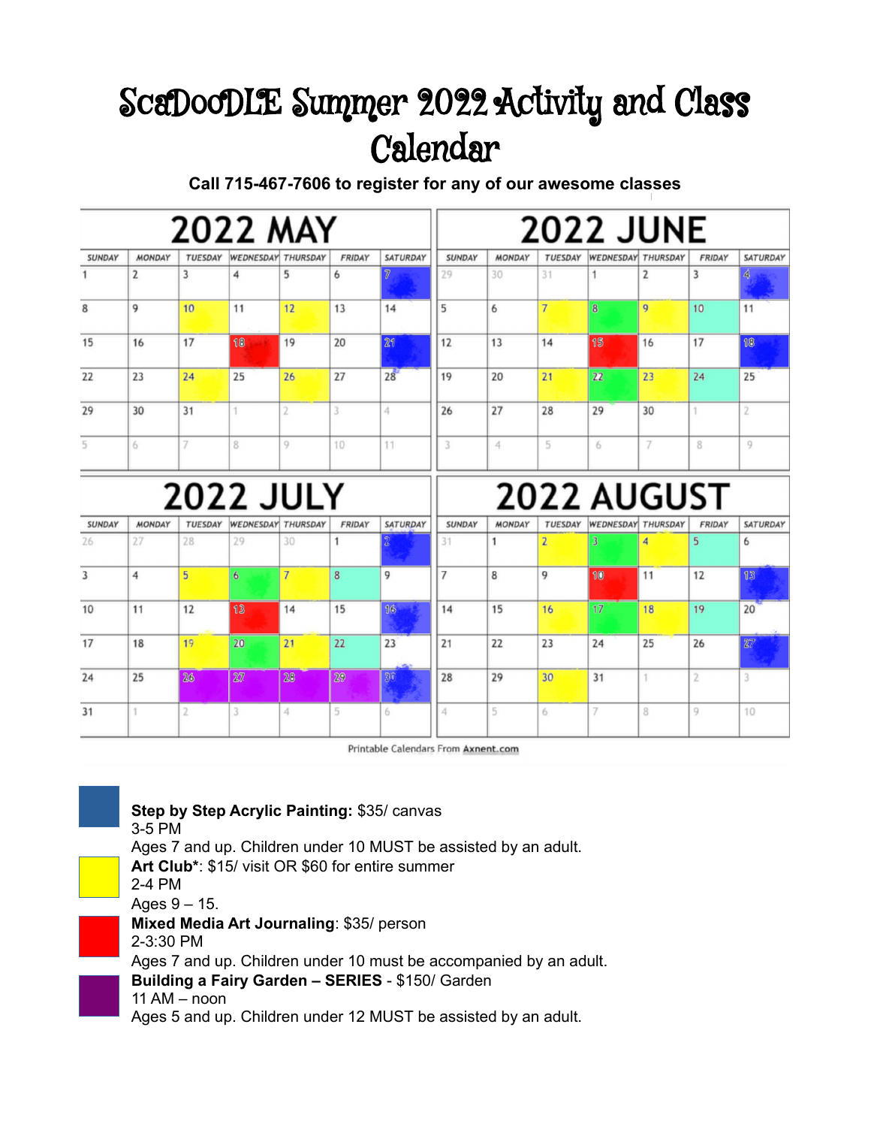## ScaDooDLE Summer 2022 Activity and Class Calendar

**Call 715-467-7606 to register for any of our awesome classes**

| <b>2022 MAY</b> |                     |                      |                |                                                               |                                        |                 | <b>2022 JUNE</b>    |                    |                                  |                |                                                                   |                                          |  |
|-----------------|---------------------|----------------------|----------------|---------------------------------------------------------------|----------------------------------------|-----------------|---------------------|--------------------|----------------------------------|----------------|-------------------------------------------------------------------|------------------------------------------|--|
| <b>MONDAY</b>   | <b>TUESDAY</b>      |                      | THURSDAY       | <b>FRIDAY</b>                                                 | <b>SATURDAY</b>                        | <b>SUNDAY</b>   | <b>MONDAY</b>       | TUESDAY            |                                  |                | <b>FRIDAY</b>                                                     | <b>SATURDAY</b>                          |  |
| $\overline{2}$  | $\overline{3}$      | 4                    | 5              | 6                                                             | $\overline{\gamma}$                    | 29              | 30                  | 31                 | 1                                | $\overline{2}$ | 3                                                                 | 4                                        |  |
| 9               | 10                  | 11                   | 12             | 13                                                            | 14                                     | 5               | 6                   | $7\overline{ }$    | 8                                | 9              | 10                                                                | 11                                       |  |
| 16              | 17                  | 18                   | 19             | 20                                                            | 21                                     | 12              | 13                  | 14                 | 15                               | 16             | 17                                                                | 18                                       |  |
| 23              | 24                  | 25                   | 26             | 27                                                            | $28^{\degree}$                         | 19              | 20                  | 21                 | 22                               | 23             | 24                                                                | 25                                       |  |
| 30              | 31                  | 1                    | 2              | 3                                                             | 4                                      | 26              | 27                  | 28                 | 29                               | 30             | 1                                                                 | $\overline{2}$                           |  |
| 6               | 7                   | 8                    | 9              | 10                                                            | 11                                     | 3               | 4                   | 5                  | 6                                | 7              | 8                                                                 | 9                                        |  |
|                 |                     |                      |                |                                                               |                                        |                 |                     |                    |                                  |                |                                                                   |                                          |  |
|                 |                     |                      |                |                                                               |                                        |                 |                     |                    |                                  |                |                                                                   | <b>SATURDAY</b>                          |  |
|                 |                     |                      |                |                                                               |                                        |                 |                     |                    |                                  |                |                                                                   | 6                                        |  |
| 4               | 5                   | $6\overline{6}$      | $\overline{7}$ | 8                                                             | 9                                      | $\overline{7}$  | 8                   | 9                  |                                  |                | 12                                                                | 13                                       |  |
| 11              | 12                  | 13                   | 14             | 15                                                            | 16                                     | 14              | 15                  | 16                 | 17                               | 18             | 19                                                                | 20                                       |  |
| 18              | 19                  | 20                   | 21             | 22                                                            | 23                                     | 21              | 22                  | 23                 | 24                               | 25             | 26                                                                | 27                                       |  |
| 25              | 26                  | 27                   | 2 <sup>°</sup> | 29                                                            | 30                                     | 28              | 29                  | 30                 | 31                               | 1              | $\overline{2}$                                                    |                                          |  |
| 1               | $\overline{2}$      | 3                    | 4              | 5                                                             | 6                                      | 4               | 5                   | 6                  | 7                                | 8              | 9                                                                 | 10                                       |  |
|                 | <b>MONDAY</b><br>27 | <b>TUESDAY</b><br>28 | 29             | <b>WEDNESDAY</b><br><b>WEDNESDAY</b><br><b>THURSDAY</b><br>30 | <b>2022 JULY</b><br><b>FRIDAY</b><br>1 | <b>SATURDAY</b> | <b>SUNDAY</b><br>31 | <b>MONDAY</b><br>1 | <b>TUESDAY</b><br>$\overline{2}$ | 3<br>10        | <b>WEDNESDAY THURSDAY</b><br><b>WEDNESDAY THURSDAY</b><br>4<br>11 | <b>2022 AUGUST</b><br><b>FRIDAY</b><br>5 |  |

Printable Calendars From Axnent.com



**Step by Step Acrylic Painting:** \$35/ canvas

3-5 PM

Ages 7 and up. Children under 10 MUST be assisted by an adult. **Art Club\***: \$15/ visit OR \$60 for entire summer 2-4 PM Ages  $9 - 15$ . **Mixed Media Art Journaling**: \$35/ person 2-3:30 PM Ages 7 and up. Children under 10 must be accompanied by an adult. **Building a Fairy Garden – SERIES** - \$150/ Garden 11 AM – noon Ages 5 and up. Children under 12 MUST be assisted by an adult.